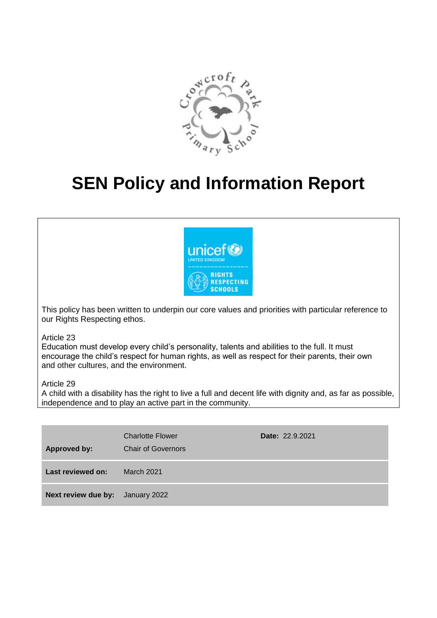

# **SEN Policy and Information Report**



This policy has been written to underpin our core values and priorities with particular reference to our Rights Respecting ethos.

Article 23

Education must develop every child's personality, talents and abilities to the full. It must encourage the child's respect for human rights, as well as respect for their parents, their own and other cultures, and the environment.

Article 29

A child with a disability has the right to live a full and decent life with dignity and, as far as possible, independence and to play an active part in the community.

| <b>Approved by:</b>                     | <b>Charlotte Flower</b><br><b>Chair of Governors</b> | Date: 22.9.2021 |
|-----------------------------------------|------------------------------------------------------|-----------------|
| Last reviewed on:                       | <b>March 2021</b>                                    |                 |
| <b>Next review due by:</b> January 2022 |                                                      |                 |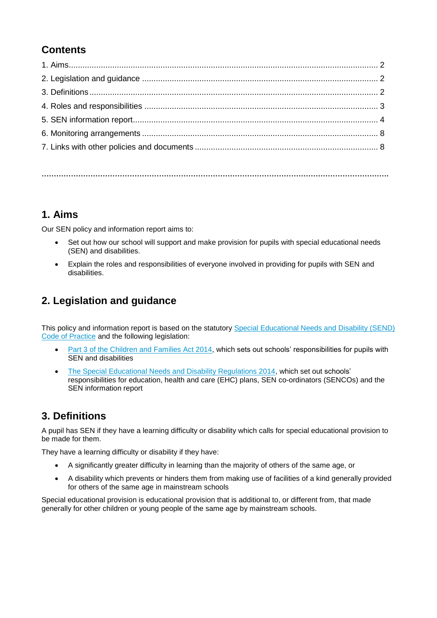# **Contents**

**…………………………………………………………………………………………………………………………….**

# **1. Aims**

Our SEN policy and information report aims to:

- Set out how our school will support and make provision for pupils with special educational needs (SEN) and disabilities.
- Explain the roles and responsibilities of everyone involved in providing for pupils with SEN and disabilities.

# **2. Legislation and guidance**

This policy and information report is based on the statutory [Special Educational Needs and Disability \(SEND\)](https://www.gov.uk/government/uploads/system/uploads/attachment_data/file/398815/SEND_Code_of_Practice_January_2015.pdf)  [Code of Practice](https://www.gov.uk/government/uploads/system/uploads/attachment_data/file/398815/SEND_Code_of_Practice_January_2015.pdf) and the following legislation:

- [Part 3 of the Children and Families Act 2014,](http://www.legislation.gov.uk/ukpga/2014/6/part/3) which sets out schools' responsibilities for pupils with SEN and disabilities
- [The Special Educational Needs and Disability Regulations 2014,](http://www.legislation.gov.uk/uksi/2014/1530/contents/made) which set out schools' responsibilities for education, health and care (EHC) plans, SEN co-ordinators (SENCOs) and the SEN information report

# **3. Definitions**

A pupil has SEN if they have a learning difficulty or disability which calls for special educational provision to be made for them.

They have a learning difficulty or disability if they have:

- A significantly greater difficulty in learning than the majority of others of the same age, or
- A disability which prevents or hinders them from making use of facilities of a kind generally provided for others of the same age in mainstream schools

Special educational provision is educational provision that is additional to, or different from, that made generally for other children or young people of the same age by mainstream schools.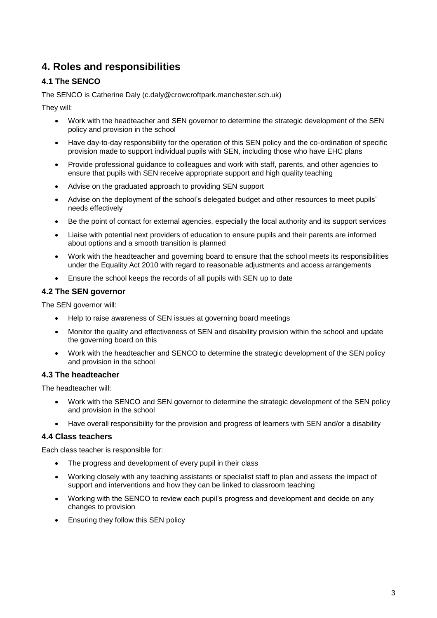# **4. Roles and responsibilities**

# **4.1 The SENCO**

The SENCO is Catherine Daly (c.daly@crowcroftpark.manchester.sch.uk)

They will:

- Work with the headteacher and SEN governor to determine the strategic development of the SEN policy and provision in the school
- Have day-to-day responsibility for the operation of this SEN policy and the co-ordination of specific provision made to support individual pupils with SEN, including those who have EHC plans
- Provide professional guidance to colleagues and work with staff, parents, and other agencies to ensure that pupils with SEN receive appropriate support and high quality teaching
- Advise on the graduated approach to providing SEN support
- Advise on the deployment of the school's delegated budget and other resources to meet pupils' needs effectively
- Be the point of contact for external agencies, especially the local authority and its support services
- Liaise with potential next providers of education to ensure pupils and their parents are informed about options and a smooth transition is planned
- Work with the headteacher and governing board to ensure that the school meets its responsibilities under the Equality Act 2010 with regard to reasonable adjustments and access arrangements
- Ensure the school keeps the records of all pupils with SEN up to date

### **4.2 The SEN governor**

The SEN governor will:

- Help to raise awareness of SEN issues at governing board meetings
- Monitor the quality and effectiveness of SEN and disability provision within the school and update the governing board on this
- Work with the headteacher and SENCO to determine the strategic development of the SEN policy and provision in the school

### **4.3 The headteacher**

The headteacher will:

- Work with the SENCO and SEN governor to determine the strategic development of the SEN policy and provision in the school
- Have overall responsibility for the provision and progress of learners with SEN and/or a disability

#### **4.4 Class teachers**

Each class teacher is responsible for:

- The progress and development of every pupil in their class
- Working closely with any teaching assistants or specialist staff to plan and assess the impact of support and interventions and how they can be linked to classroom teaching
- Working with the SENCO to review each pupil's progress and development and decide on any changes to provision
- **Ensuring they follow this SEN policy**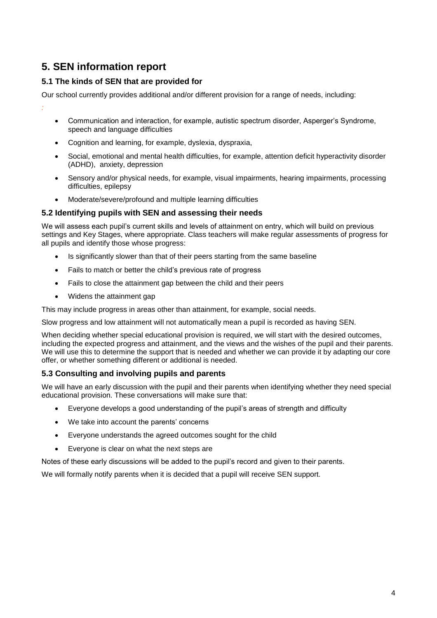# **5. SEN information report**

# **5.1 The kinds of SEN that are provided for**

Our school currently provides additional and/or different provision for a range of needs, including:

- *:*
- Communication and interaction, for example, autistic spectrum disorder, Asperger's Syndrome, speech and language difficulties
- Cognition and learning, for example, dyslexia, dyspraxia,
- Social, emotional and mental health difficulties, for example, attention deficit hyperactivity disorder (ADHD), anxiety, depression
- Sensory and/or physical needs, for example, visual impairments, hearing impairments, processing difficulties, epilepsy
- Moderate/severe/profound and multiple learning difficulties

#### **5.2 Identifying pupils with SEN and assessing their needs**

We will assess each pupil's current skills and levels of attainment on entry, which will build on previous settings and Key Stages, where appropriate. Class teachers will make regular assessments of progress for all pupils and identify those whose progress:

- Is significantly slower than that of their peers starting from the same baseline
- Fails to match or better the child's previous rate of progress
- Fails to close the attainment gap between the child and their peers
- Widens the attainment gap

This may include progress in areas other than attainment, for example, social needs.

Slow progress and low attainment will not automatically mean a pupil is recorded as having SEN.

When deciding whether special educational provision is required, we will start with the desired outcomes, including the expected progress and attainment, and the views and the wishes of the pupil and their parents. We will use this to determine the support that is needed and whether we can provide it by adapting our core offer, or whether something different or additional is needed.

### **5.3 Consulting and involving pupils and parents**

We will have an early discussion with the pupil and their parents when identifying whether they need special educational provision. These conversations will make sure that:

- Everyone develops a good understanding of the pupil's areas of strength and difficulty
- We take into account the parents' concerns
- Everyone understands the agreed outcomes sought for the child
- Everyone is clear on what the next steps are

Notes of these early discussions will be added to the pupil's record and given to their parents.

We will formally notify parents when it is decided that a pupil will receive SEN support.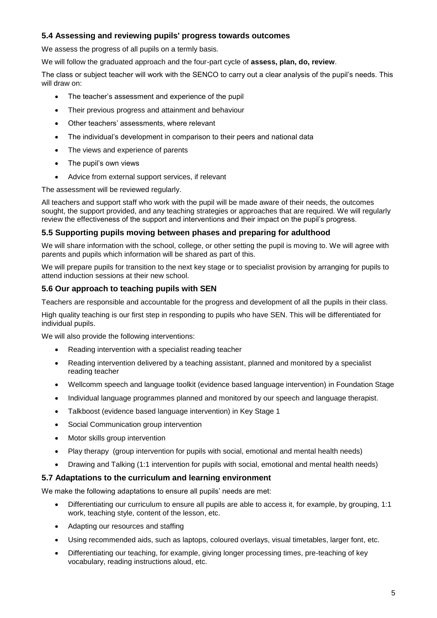### **5.4 Assessing and reviewing pupils' progress towards outcomes**

We assess the progress of all pupils on a termly basis.

We will follow the graduated approach and the four-part cycle of **assess, plan, do, review**.

The class or subject teacher will work with the SENCO to carry out a clear analysis of the pupil's needs. This will draw on:

- The teacher's assessment and experience of the pupil
- Their previous progress and attainment and behaviour
- Other teachers' assessments, where relevant
- The individual's development in comparison to their peers and national data
- The views and experience of parents
- The pupil's own views
- Advice from external support services, if relevant

The assessment will be reviewed regularly.

All teachers and support staff who work with the pupil will be made aware of their needs, the outcomes sought, the support provided, and any teaching strategies or approaches that are required. We will regularly review the effectiveness of the support and interventions and their impact on the pupil's progress.

#### **5.5 Supporting pupils moving between phases and preparing for adulthood**

We will share information with the school, college, or other setting the pupil is moving to. We will agree with parents and pupils which information will be shared as part of this.

We will prepare pupils for transition to the next key stage or to specialist provision by arranging for pupils to attend induction sessions at their new school.

#### **5.6 Our approach to teaching pupils with SEN**

Teachers are responsible and accountable for the progress and development of all the pupils in their class.

High quality teaching is our first step in responding to pupils who have SEN. This will be differentiated for individual pupils.

We will also provide the following interventions:

- Reading intervention with a specialist reading teacher
- Reading intervention delivered by a teaching assistant, planned and monitored by a specialist reading teacher
- Wellcomm speech and language toolkit (evidence based language intervention) in Foundation Stage
- Individual language programmes planned and monitored by our speech and language therapist.
- Talkboost (evidence based language intervention) in Key Stage 1
- Social Communication group intervention
- Motor skills group intervention
- Play therapy (group intervention for pupils with social, emotional and mental health needs)
- Drawing and Talking (1:1 intervention for pupils with social, emotional and mental health needs)

#### **5.7 Adaptations to the curriculum and learning environment**

We make the following adaptations to ensure all pupils' needs are met:

- Differentiating our curriculum to ensure all pupils are able to access it, for example, by grouping, 1:1 work, teaching style, content of the lesson, etc.
- Adapting our resources and staffing
- Using recommended aids, such as laptops, coloured overlays, visual timetables, larger font, etc.
- Differentiating our teaching, for example, giving longer processing times, pre-teaching of key vocabulary, reading instructions aloud, etc.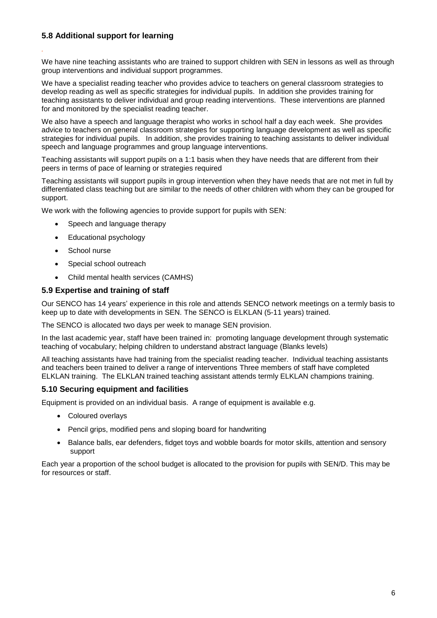# **5.8 Additional support for learning**

*.*

We have nine teaching assistants who are trained to support children with SEN in lessons as well as through group interventions and individual support programmes.

We have a specialist reading teacher who provides advice to teachers on general classroom strategies to develop reading as well as specific strategies for individual pupils. In addition she provides training for teaching assistants to deliver individual and group reading interventions. These interventions are planned for and monitored by the specialist reading teacher.

We also have a speech and language therapist who works in school half a day each week. She provides advice to teachers on general classroom strategies for supporting language development as well as specific strategies for individual pupils. In addition, she provides training to teaching assistants to deliver individual speech and language programmes and group language interventions.

Teaching assistants will support pupils on a 1:1 basis when they have needs that are different from their peers in terms of pace of learning or strategies required

Teaching assistants will support pupils in group intervention when they have needs that are not met in full by differentiated class teaching but are similar to the needs of other children with whom they can be grouped for support.

We work with the following agencies to provide support for pupils with SEN:

- Speech and language therapy
- Educational psychology
- School nurse
- Special school outreach
- Child mental health services (CAMHS)

#### **5.9 Expertise and training of staff**

Our SENCO has 14 years' experience in this role and attends SENCO network meetings on a termly basis to keep up to date with developments in SEN. The SENCO is ELKLAN (5-11 years) trained.

The SENCO is allocated two days per week to manage SEN provision.

In the last academic year, staff have been trained in: promoting language development through systematic teaching of vocabulary; helping children to understand abstract language (Blanks levels)

All teaching assistants have had training from the specialist reading teacher. Individual teaching assistants and teachers been trained to deliver a range of interventions Three members of staff have completed ELKLAN training. The ELKLAN trained teaching assistant attends termly ELKLAN champions training.

#### **5.10 Securing equipment and facilities**

Equipment is provided on an individual basis. A range of equipment is available e.g.

- Coloured overlays
- Pencil grips, modified pens and sloping board for handwriting
- Balance balls, ear defenders, fidget toys and wobble boards for motor skills, attention and sensory support

Each year a proportion of the school budget is allocated to the provision for pupils with SEN/D. This may be for resources or staff.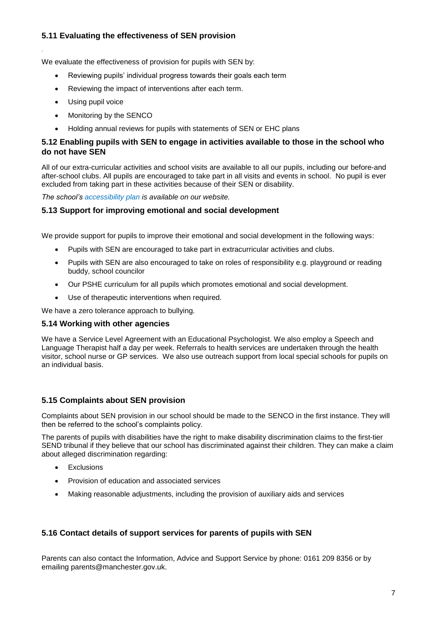# **5.11 Evaluating the effectiveness of SEN provision**

We evaluate the effectiveness of provision for pupils with SEN by:

- Reviewing pupils' individual progress towards their goals each term
- Reviewing the impact of interventions after each term.
- Using pupil voice

*.*

- Monitoring by the SENCO
- Holding annual reviews for pupils with statements of SEN or EHC plans

#### **5.12 Enabling pupils with SEN to engage in activities available to those in the school who do not have SEN**

All of our extra-curricular activities and school visits are available to all our pupils, including our before-and after-school clubs. All pupils are encouraged to take part in all visits and events in school. No pupil is ever excluded from taking part in these activities because of their SEN or disability.

*The school's accessibility plan is available on our website.*

#### **5.13 Support for improving emotional and social development**

We provide support for pupils to improve their emotional and social development in the following ways:

- Pupils with SEN are encouraged to take part in extracurricular activities and clubs.
- Pupils with SEN are also encouraged to take on roles of responsibility e.g. playground or reading buddy, school councilor
- Our PSHE curriculum for all pupils which promotes emotional and social development.
- Use of therapeutic interventions when required.

We have a zero tolerance approach to bullying.

#### **5.14 Working with other agencies**

We have a Service Level Agreement with an Educational Psychologist. We also employ a Speech and Language Therapist half a day per week. Referrals to health services are undertaken through the health visitor, school nurse or GP services. We also use outreach support from local special schools for pupils on an individual basis.

### **5.15 Complaints about SEN provision**

Complaints about SEN provision in our school should be made to the SENCO in the first instance. They will then be referred to the school's complaints policy.

The parents of pupils with disabilities have the right to make disability discrimination claims to the first-tier SEND tribunal if they believe that our school has discriminated against their children. They can make a claim about alleged discrimination regarding:

- **Exclusions**
- Provision of education and associated services
- Making reasonable adjustments, including the provision of auxiliary aids and services

### **5.16 Contact details of support services for parents of pupils with SEN**

Parents can also contact the Information, Advice and Support Service by phone: 0161 209 8356 or by emailing parents@manchester.gov.uk.